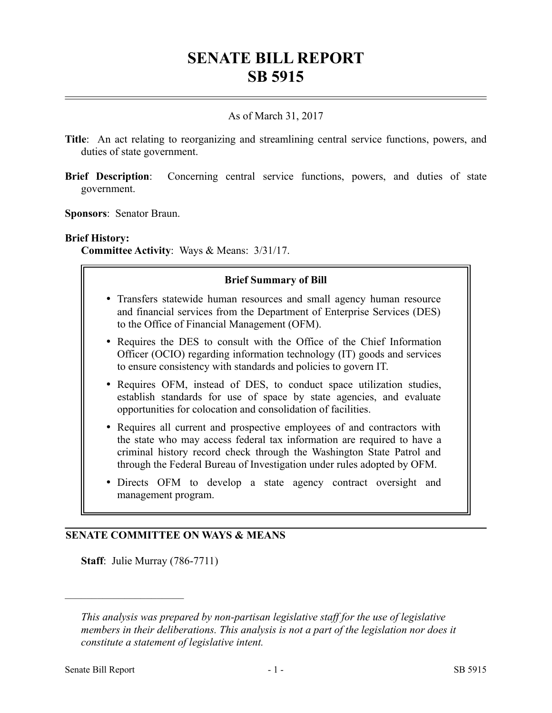# **SENATE BILL REPORT SB 5915**

### As of March 31, 2017

- **Title**: An act relating to reorganizing and streamlining central service functions, powers, and duties of state government.
- **Brief Description**: Concerning central service functions, powers, and duties of state government.
- **Sponsors**: Senator Braun.

#### **Brief History:**

**Committee Activity**: Ways & Means: 3/31/17.

#### **Brief Summary of Bill**

- Transfers statewide human resources and small agency human resource and financial services from the Department of Enterprise Services (DES) to the Office of Financial Management (OFM).
- Requires the DES to consult with the Office of the Chief Information Officer (OCIO) regarding information technology (IT) goods and services to ensure consistency with standards and policies to govern IT.
- Requires OFM, instead of DES, to conduct space utilization studies, establish standards for use of space by state agencies, and evaluate opportunities for colocation and consolidation of facilities.
- Requires all current and prospective employees of and contractors with the state who may access federal tax information are required to have a criminal history record check through the Washington State Patrol and through the Federal Bureau of Investigation under rules adopted by OFM.
- Directs OFM to develop a state agency contract oversight and management program.

#### **SENATE COMMITTEE ON WAYS & MEANS**

**Staff**: Julie Murray (786-7711)

––––––––––––––––––––––

*This analysis was prepared by non-partisan legislative staff for the use of legislative members in their deliberations. This analysis is not a part of the legislation nor does it constitute a statement of legislative intent.*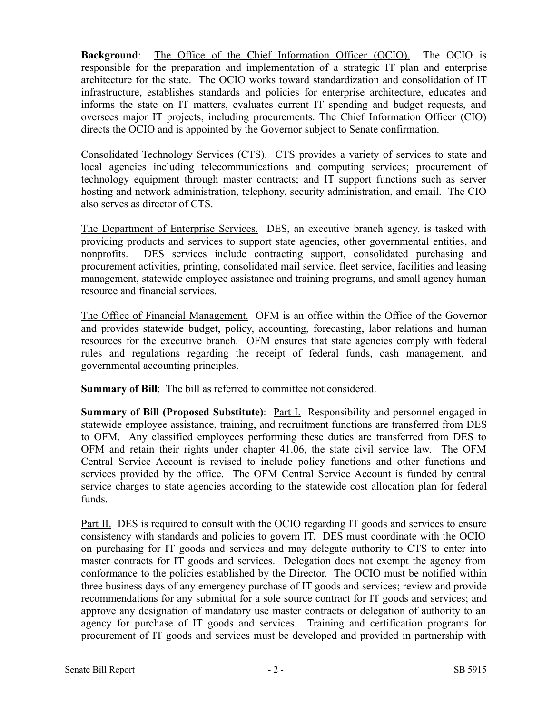**Background**: The Office of the Chief Information Officer (OCIO). The OCIO is responsible for the preparation and implementation of a strategic IT plan and enterprise architecture for the state. The OCIO works toward standardization and consolidation of IT infrastructure, establishes standards and policies for enterprise architecture, educates and informs the state on IT matters, evaluates current IT spending and budget requests, and oversees major IT projects, including procurements. The Chief Information Officer (CIO) directs the OCIO and is appointed by the Governor subject to Senate confirmation.

Consolidated Technology Services (CTS). CTS provides a variety of services to state and local agencies including telecommunications and computing services; procurement of technology equipment through master contracts; and IT support functions such as server hosting and network administration, telephony, security administration, and email. The CIO also serves as director of CTS.

The Department of Enterprise Services. DES, an executive branch agency, is tasked with providing products and services to support state agencies, other governmental entities, and nonprofits. DES services include contracting support, consolidated purchasing and procurement activities, printing, consolidated mail service, fleet service, facilities and leasing management, statewide employee assistance and training programs, and small agency human resource and financial services.

The Office of Financial Management. OFM is an office within the Office of the Governor and provides statewide budget, policy, accounting, forecasting, labor relations and human resources for the executive branch. OFM ensures that state agencies comply with federal rules and regulations regarding the receipt of federal funds, cash management, and governmental accounting principles.

**Summary of Bill**: The bill as referred to committee not considered.

**Summary of Bill (Proposed Substitute)**: Part I. Responsibility and personnel engaged in statewide employee assistance, training, and recruitment functions are transferred from DES to OFM. Any classified employees performing these duties are transferred from DES to OFM and retain their rights under chapter 41.06, the state civil service law. The OFM Central Service Account is revised to include policy functions and other functions and services provided by the office. The OFM Central Service Account is funded by central service charges to state agencies according to the statewide cost allocation plan for federal funds.

Part II. DES is required to consult with the OCIO regarding IT goods and services to ensure consistency with standards and policies to govern IT. DES must coordinate with the OCIO on purchasing for IT goods and services and may delegate authority to CTS to enter into master contracts for IT goods and services. Delegation does not exempt the agency from conformance to the policies established by the Director. The OCIO must be notified within three business days of any emergency purchase of IT goods and services; review and provide recommendations for any submittal for a sole source contract for IT goods and services; and approve any designation of mandatory use master contracts or delegation of authority to an agency for purchase of IT goods and services. Training and certification programs for procurement of IT goods and services must be developed and provided in partnership with